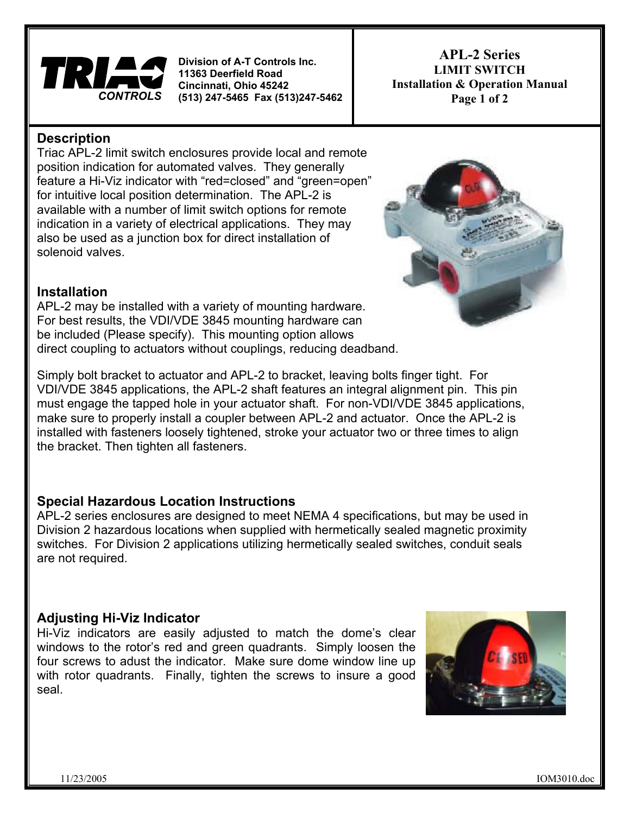

**Cincinna ti, Ohio 45242 Division of A-T Controls Inc. 11363 Deerfield Road (513) 247-5465 Fax (513)247-5462**

**APL-2 Series LIMIT SWITCH Installation & Operation Manual Page 1 of 2** 

### **Description**

feature a Hi-Viz indicator with "red=closed" and "green=open" Triac APL-2 limit switch enclosures provide local and remote position indication for automated valves. They generally for intuitive local position determination. The APL-2 is available with a number of limit switch options for remote indication in a variety of electrical applications. They may also be used as a junction box for direct installation of solenoid valves.



### **Installation**

APL-2 may be installed with a variety of mounting hardware. For best results, the VDI/VDE 3845 mounting hardware can be included (Please specify). This mounting option allows direct coupling to actuators without couplings, reducing deadband.

Simply bolt bracket to actuator and APL-2 to bracket, leaving bolts finger tight. For VDI/VDE 3845 applications, the APL-2 shaft features an integral alignment pin. This pin must engage the tapped hole in your actuator shaft. For non-VDI/VDE 3845 applications, make sure to properly install a coupler between APL-2 and actuator. Once the APL-2 is installed with fasteners loosely tightened, stroke your actuator two or three times to align the bracket. Then tighten all fasteners.

## **Special Hazardous Location Instructions**

APL-2 series enclosures are designed to meet NEMA 4 specifications, but may be used in Division 2 hazardous locations when supplied with hermetically sealed magnetic proximity switches. For Division 2 applications utilizing hermetically sealed switches, conduit seals are not required.

# **Adjusting Hi-Viz Indicator**

Hi-Viz indicators are easily adjusted to match the dome's clear windows to the rotor's red and green quadrants. Simply loosen the four screws to adust the indicator. Make sure dome window line up with rotor quadrants. Finally, tighten the screws to insure a good seal.